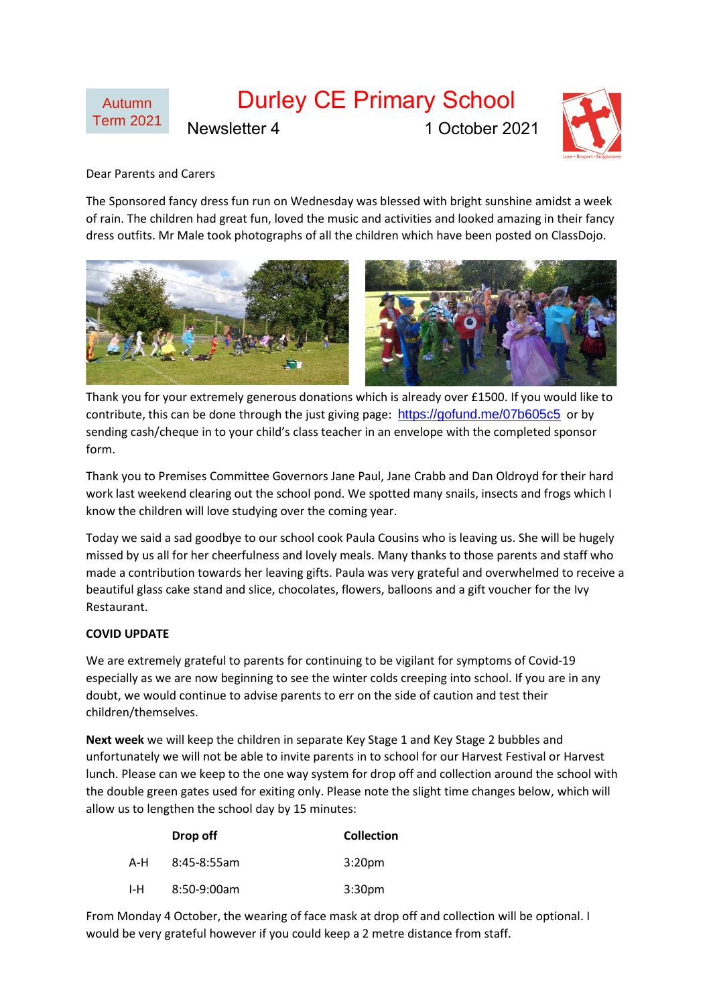

## Dear Parents and Carers

The Sponsored fancy dress fun run on Wednesday was blessed with bright sunshine amidst a week of rain. The children had great fun, loved the music and activities and looked amazing in their fancy dress outfits. Mr Male took photographs of all the children which have been posted on ClassDojo.



Thank you for your extremely generous donations which is already over £1500. If you would like to contribute, this can be done through the just giving page: <https://gofund.me/07b605c5> or by sending cash/cheque in to your child's class teacher in an envelope with the completed sponsor form.

Thank you to Premises Committee Governors Jane Paul, Jane Crabb and Dan Oldroyd for their hard work last weekend clearing out the school pond. We spotted many snails, insects and frogs which I know the children will love studying over the coming year.

Today we said a sad goodbye to our school cook Paula Cousins who is leaving us. She will be hugely missed by us all for her cheerfulness and lovely meals. Many thanks to those parents and staff who made a contribution towards her leaving gifts. Paula was very grateful and overwhelmed to receive a beautiful glass cake stand and slice, chocolates, flowers, balloons and a gift voucher for the Ivy Restaurant.

## **COVID UPDATE**

We are extremely grateful to parents for continuing to be vigilant for symptoms of Covid-19 especially as we are now beginning to see the winter colds creeping into school. If you are in any doubt, we would continue to advise parents to err on the side of caution and test their children/themselves.

**Next week** we will keep the children in separate Key Stage 1 and Key Stage 2 bubbles and unfortunately we will not be able to invite parents in to school for our Harvest Festival or Harvest lunch. Please can we keep to the one way system for drop off and collection around the school with the double green gates used for exiting only. Please note the slight time changes below, which will allow us to lengthen the school day by 15 minutes:

|     | Drop off      | <b>Collection</b>  |
|-----|---------------|--------------------|
| A-H | $8:45-8:55am$ | 3:20 <sub>pm</sub> |
| I-H | 8:50-9:00am   | 3:30 <sub>pm</sub> |

From Monday 4 October, the wearing of face mask at drop off and collection will be optional. I would be very grateful however if you could keep a 2 metre distance from staff.